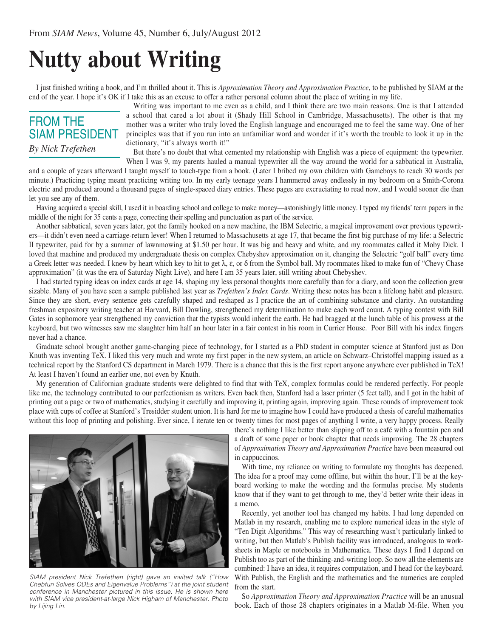## **Nutty about Writing**

I just finished writing a book, and I'm thrilled about it. This is *Approximation Theory and Approximation Practice*, to be published by SIAM at the end of the year. I hope it's OK if I take this as an excuse to offer a rather personal column about the place of writing in my life.

## FROM THE SIAM PRESIDENT *By Nick Trefethen*

Writing was important to me even as a child, and I think there are two main reasons. One is that I attended a school that cared a lot about it (Shady Hill School in Cambridge, Massachusetts). The other is that my mother was a writer who truly loved the English language and encouraged me to feel the same way. One of her principles was that if you run into an unfamiliar word and wonder if it's worth the trouble to look it up in the dictionary, "it's always worth it!"

But there's no doubt that what cemented my relationship with English was a piece of equipment: the typewriter. When I was 9, my parents hauled a manual typewriter all the way around the world for a sabbatical in Australia,

and a couple of years afterward I taught myself to touch-type from a book. (Later I bribed my own children with Gameboys to reach 30 words per minute.) Practicing typing meant practicing writing too. In my early teenage years I hammered away endlessly in my bedroom on a Smith-Corona electric and produced around a thousand pages of single-spaced diary entries. These pages are excruciating to read now, and I would sooner die than let you see any of them.

Having acquired a special skill, I used it in boarding school and college to make money—astonishingly little money. I typed my friends' term papers in the middle of the night for 35 cents a page, correcting their spelling and punctuation as part of the service.

Another sabbatical, seven years later, got the family hooked on a new machine, the IBM Selectric, a magical improvement over previous typewriters—it didn't even need a carriage-return lever! When I returned to Massachusetts at age 17, that became the first big purchase of my life: a Selectric II typewriter, paid for by a summer of lawnmowing at \$1.50 per hour. It was big and heavy and white, and my roommates called it Moby Dick. I loved that machine and produced my undergraduate thesis on complex Chebyshev approximation on it, changing the Selectric "golf ball" every time a Greek letter was needed. I knew by heart which key to hit to get  $\lambda$ ,  $\varepsilon$ , or  $\delta$  from the Symbol ball. My roommates liked to make fun of "Chevy Chase" approximation" (it was the era of Saturday Night Live), and here I am 35 years later, still writing about Chebyshev.

I had started typing ideas on index cards at age 14, shaping my less personal thoughts more carefully than for a diary, and soon the collection grew sizable. Many of you have seen a sample published last year as *Trefethen's Index Cards*. Writing these notes has been a lifelong habit and pleasure. Since they are short, every sentence gets carefully shaped and reshaped as I practice the art of combining substance and clarity. An outstanding freshman expository writing teacher at Harvard, Bill Dowling, strengthened my determination to make each word count. A typing contest with Bill Gates in sophomore year strengthened my conviction that the typists would inherit the earth. He had bragged at the lunch table of his prowess at the keyboard, but two witnesses saw me slaughter him half an hour later in a fair contest in his room in Currier House. Poor Bill with his index fingers never had a chance.

Graduate school brought another game-changing piece of technology, for I started as a PhD student in computer science at Stanford just as Don Knuth was inventing TeX. I liked this very much and wrote my first paper in the new system, an article on Schwarz–Christoffel mapping issued as a technical report by the Stanford CS department in March 1979. There is a chance that this is the first report anyone anywhere ever published in TeX! At least I haven't found an earlier one, not even by Knuth.

My generation of Californian graduate students were delighted to find that with TeX, complex formulas could be rendered perfectly. For people like me, the technology contributed to our perfectionism as writers. Even back then, Stanford had a laser printer (5 feet tall), and I got in the habit of printing out a page or two of mathematics, studying it carefully and improving it, printing again, improving again. These rounds of improvement took place with cups of coffee at Stanford's Tresidder student union. It is hard for me to imagine how I could have produced a thesis of careful mathematics without this loop of printing and polishing. Ever since, I iterate ten or twenty times for most pages of anything I write, a very happy process. Really



*SIAM president Nick Trefethen (right) gave an invited talk ("How Chebfun Solves ODEs and Eigenvalue Problems") at the joint student conference in Manchester pictured in this issue. He is shown here with SIAM vice president-at-large Nick Higham of Manchester. Photo by Lijing Lin.*

there's nothing I like better than slipping off to a café with a fountain pen and a draft of some paper or book chapter that needs improving. The 28 chapters of *Approximation Theory and Approximation Practice* have been measured out in cappuccinos.

With time, my reliance on writing to formulate my thoughts has deepened. The idea for a proof may come offline, but within the hour, I'll be at the keyboard working to make the wording and the formulas precise. My students know that if they want to get through to me, they'd better write their ideas in a memo.

Recently, yet another tool has changed my habits. I had long depended on Matlab in my research, enabling me to explore numerical ideas in the style of "Ten Digit Algorithms." This way of researching wasn't particularly linked to writing, but then Matlab's Publish facility was introduced, analogous to worksheets in Maple or notebooks in Mathematica. These days I find I depend on Publish too as part of the thinking-and-writing loop. So now all the elements are combined: I have an idea, it requires computation, and I head for the keyboard. With Publish, the English and the mathematics and the numerics are coupled from the start.

So *Approximation Theory and Approximation Practice* will be an unusual book. Each of those 28 chapters originates in a Matlab M-file. When you